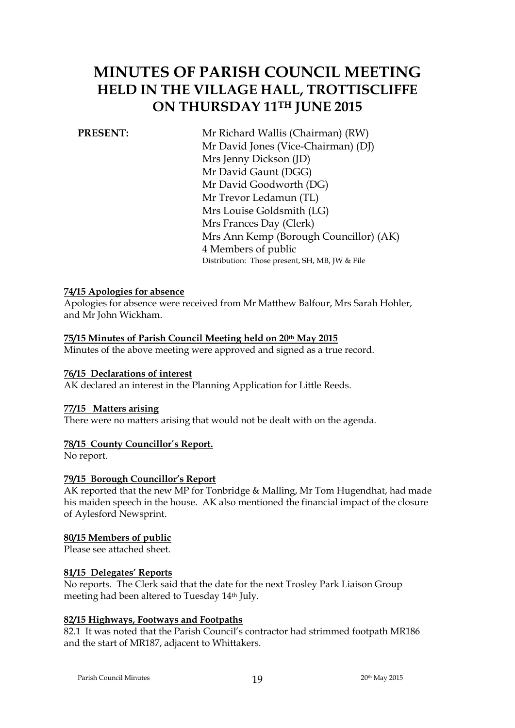# **MINUTES OF PARISH COUNCIL MEETING HELD IN THE VILLAGE HALL, TROTTISCLIFFE ON THURSDAY 11TH JUNE 2015**

**PRESENT:** Mr Richard Wallis (Chairman) (RW) Mr David Jones (Vice-Chairman) (DJ) Mrs Jenny Dickson (JD) Mr David Gaunt (DGG) Mr David Goodworth (DG) Mr Trevor Ledamun (TL) Mrs Louise Goldsmith (LG) Mrs Frances Day (Clerk) Mrs Ann Kemp (Borough Councillor) (AK) 4 Members of public Distribution: Those present, SH, MB, JW & File

#### **74/15 Apologies for absence**

Apologies for absence were received from Mr Matthew Balfour, Mrs Sarah Hohler, and Mr John Wickham.

#### **75/15 Minutes of Parish Council Meeting held on 20th May 2015**

Minutes of the above meeting were approved and signed as a true record.

#### **76/15 Declarations of interest**

AK declared an interest in the Planning Application for Little Reeds.

#### **77/15 Matters arising**

There were no matters arising that would not be dealt with on the agenda.

### **78/15 County Councillor**'**s Report.**

No report.

#### **79/15 Borough Councillor's Report**

AK reported that the new MP for Tonbridge & Malling, Mr Tom Hugendhat, had made his maiden speech in the house. AK also mentioned the financial impact of the closure of Aylesford Newsprint.

#### **80/15 Members of public**

Please see attached sheet.

#### **81/15 Delegates' Reports**

No reports. The Clerk said that the date for the next Trosley Park Liaison Group meeting had been altered to Tuesday 14th July.

### **82/15 Highways, Footways and Footpaths**

82.1 It was noted that the Parish Council's contractor had strimmed footpath MR186 and the start of MR187, adjacent to Whittakers.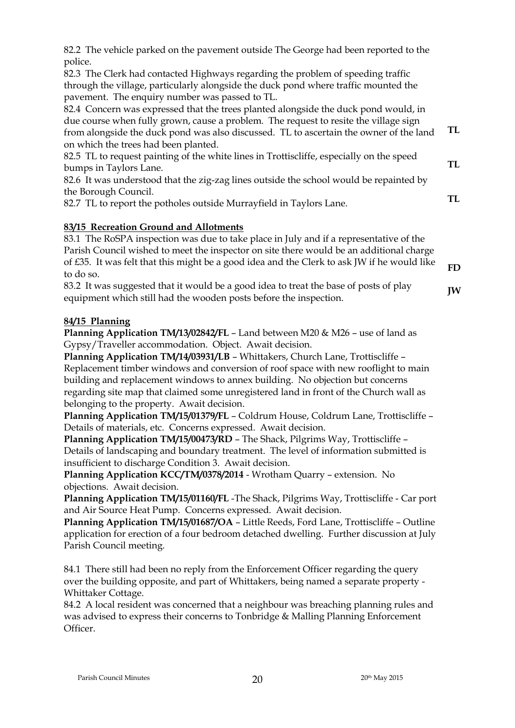| 82.6 It was understood that the zig-zag lines outside the school would be repainted by                                                                                                    |
|-------------------------------------------------------------------------------------------------------------------------------------------------------------------------------------------|
| the Borough Council.                                                                                                                                                                      |
| 82.7 TL to report the potholes outside Murrayfield in Taylors Lane.                                                                                                                       |
| 83/15 Recreation Ground and Allotments                                                                                                                                                    |
| 83.1 The RoSPA inspection was due to take place in July and if a representative of the                                                                                                    |
| Parish Council wished to meet the inspector on site there would be an additional charge<br>of $E$ 35. It was felt that this might be a good idea and the Clerk to ask JW if he would like |
| to do so.                                                                                                                                                                                 |
| 83.2 It was suggested that it would be a good idea to treat the base of posts of play<br>equipment which still had the wooden posts before the inspection.                                |
|                                                                                                                                                                                           |

82.2 The vehicle parked on the pavement outside The George had been reported to the

82.4 Concern was expressed that the trees planted alongside the duck pond would, in due course when fully grown, cause a problem. The request to resite the village sign from alongside the duck pond was also discussed. TL to ascertain the owner of the land

82.5 TL to request painting of the white lines in Trottiscliffe, especially on the speed

82.3 The Clerk had contacted Highways regarding the problem of speeding traffic through the village, particularly alongside the duck pond where traffic mounted the

pavement. The enquiry number was passed to TL.

on which the trees had been planted.

bumps in Taylors Lane.

# **84/15 Planning**

police.

**Planning Application TM/13/02842/FL** – Land between M20 & M26 – use of land as Gypsy/Traveller accommodation. Object. Await decision.

**Planning Application TM/14/03931/LB** – Whittakers, Church Lane, Trottiscliffe – Replacement timber windows and conversion of roof space with new rooflight to main building and replacement windows to annex building. No objection but concerns regarding site map that claimed some unregistered land in front of the Church wall as belonging to the property. Await decision.

**Planning Application TM/15/01379/FL** – Coldrum House, Coldrum Lane, Trottiscliffe – Details of materials, etc. Concerns expressed. Await decision.

**Planning Application TM/15/00473/RD** – The Shack, Pilgrims Way, Trottiscliffe – Details of landscaping and boundary treatment. The level of information submitted is insufficient to discharge Condition 3. Await decision.

**Planning Application KCC/TM/0378/2014** - Wrotham Quarry – extension. No objections. Await decision.

**Planning Application TM/15/01160/FL** -The Shack, Pilgrims Way, Trottiscliffe - Car port and Air Source Heat Pump. Concerns expressed. Await decision.

**Planning Application TM/15/01687/OA** – Little Reeds, Ford Lane, Trottiscliffe – Outline application for erection of a four bedroom detached dwelling. Further discussion at July Parish Council meeting.

84.1 There still had been no reply from the Enforcement Officer regarding the query over the building opposite, and part of Whittakers, being named a separate property - Whittaker Cottage.

84.2 A local resident was concerned that a neighbour was breaching planning rules and was advised to express their concerns to Tonbridge & Malling Planning Enforcement Officer.

**TL**

**TL**

**TL**

**FD**

**JW**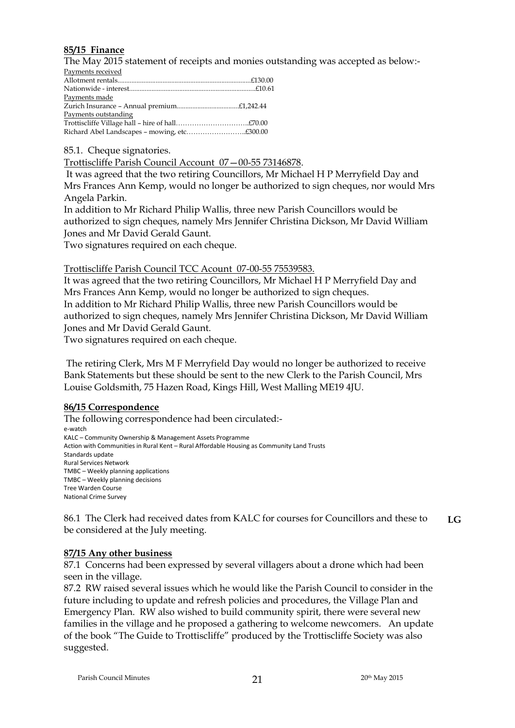### **85/15 Finance**

The May 2015 statement of receipts and monies outstanding was accepted as below:-

| Payments received    |  |
|----------------------|--|
|                      |  |
|                      |  |
| Payments made        |  |
|                      |  |
| Payments outstanding |  |
|                      |  |
|                      |  |

85.1. Cheque signatories.

Trottiscliffe Parish Council Account 07—00-55 73146878.

It was agreed that the two retiring Councillors, Mr Michael H P Merryfield Day and Mrs Frances Ann Kemp, would no longer be authorized to sign cheques, nor would Mrs Angela Parkin.

In addition to Mr Richard Philip Wallis, three new Parish Councillors would be authorized to sign cheques, namely Mrs Jennifer Christina Dickson, Mr David William Jones and Mr David Gerald Gaunt.

Two signatures required on each cheque.

Trottiscliffe Parish Council TCC Acount 07-00-55 75539583.

It was agreed that the two retiring Councillors, Mr Michael H P Merryfield Day and Mrs Frances Ann Kemp, would no longer be authorized to sign cheques. In addition to Mr Richard Philip Wallis, three new Parish Councillors would be authorized to sign cheques, namely Mrs Jennifer Christina Dickson, Mr David William Jones and Mr David Gerald Gaunt.

Two signatures required on each cheque.

The retiring Clerk, Mrs M F Merryfield Day would no longer be authorized to receive Bank Statements but these should be sent to the new Clerk to the Parish Council, Mrs Louise Goldsmith, 75 Hazen Road, Kings Hill, West Malling ME19 4JU.

### **86/15 Correspondence**

The following correspondence had been circulated: e-watch KALC – Community Ownership & Management Assets Programme Action with Communities in Rural Kent – Rural Affordable Housing as Community Land Trusts Standards update Rural Services Network TMBC – Weekly planning applications TMBC – Weekly planning decisions Tree Warden Course National Crime Survey

86.1 The Clerk had received dates from KALC for courses for Councillors and these to be considered at the July meeting. **LG**

### **87/15 Any other business**

87.1 Concerns had been expressed by several villagers about a drone which had been seen in the village.

87.2 RW raised several issues which he would like the Parish Council to consider in the future including to update and refresh policies and procedures, the Village Plan and Emergency Plan. RW also wished to build community spirit, there were several new families in the village and he proposed a gathering to welcome newcomers. An update of the book "The Guide to Trottiscliffe" produced by the Trottiscliffe Society was also suggested.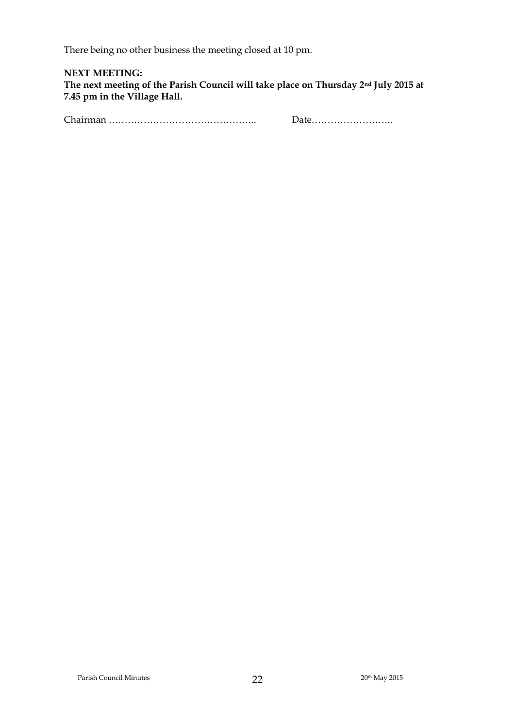There being no other business the meeting closed at 10 pm.

**NEXT MEETING: The next meeting of the Parish Council will take place on Thursday 2nd July 2015 at 7.45 pm in the Village Hall.** 

Chairman ……………………………………….. Date……………………..